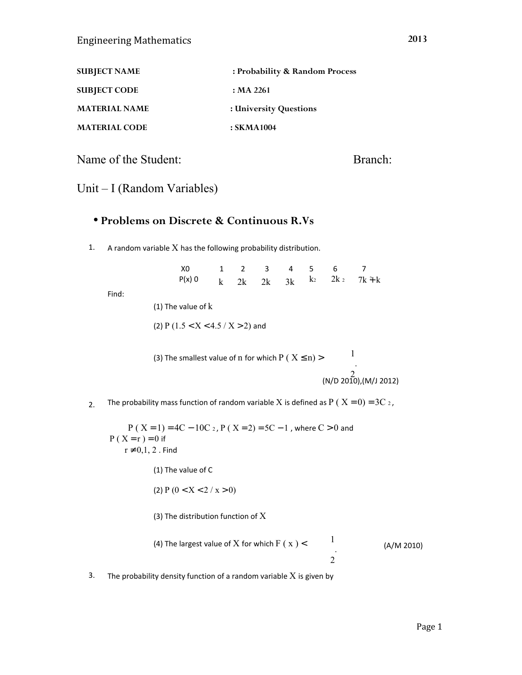| <b>SUBJECT NAME</b>  | : Probability & Random Process |
|----------------------|--------------------------------|
| <b>SUBJECT CODE</b>  | : MA 2261                      |
| <b>MATERIAL NAME</b> | : University Questions         |
| <b>MATERIAL CODE</b> | : SKMA1004                     |

Name of the Student:

Branch:

## Unit – I (Random Variables)

#### • **Problems on Discrete & Continuous R.Vs**

1. A random variable  $X$  has the following probability distribution.

| XO . |  |  | 1 2 3 4 5 6 7 |                                       |
|------|--|--|---------------|---------------------------------------|
|      |  |  |               | $P(x)$ 0 k 2k 2k 3k $k^2$ 2k 2 7k + k |

Find:

(1) The value of k

(2) P  $(1.5 < X < 4.5 / X > 2)$  and

(3) The smallest value of n for which  $P(X \le n)$  > 1 . 2 (N/D 2010),(M/J 2012)

2. The probability mass function of random variable X is defined as  $P(X = 0) = 3C_2$ ,

 $P(X = 1) = 4C - 10C_2$ ,  $P(X = 2) = 5C - 1$ , where  $C > 0$  and  $P(X = r) = 0$  if  $r \neq 0,1,2$ . Find

(1) The value of C

(2)  $P(0 < X < 2 / x > 0)$ 

(3) The distribution function of  $X$ 

(4) The largest value of X for which F ( x) 
$$
< 1
$$
 (A/M 2010)

3. The probability density function of a random variable  $X$  is given by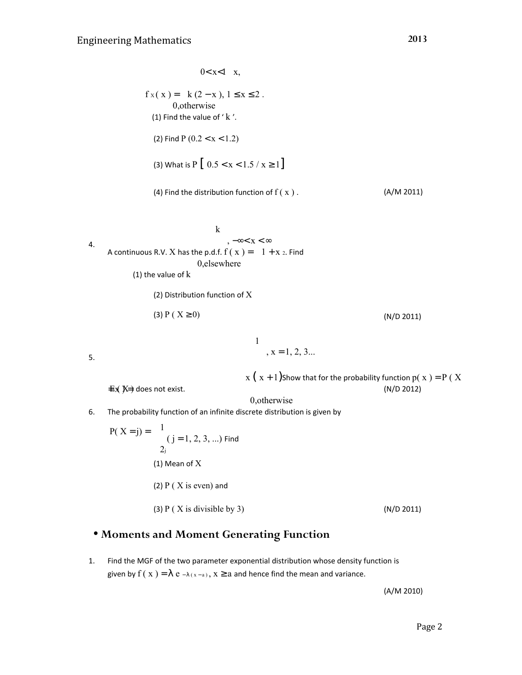$0 < x < 1$   $\left[ x \right]$  $\overline{\phantom{a}}$  $f x(x) = \frac{1}{2} k (2 - x), 1 \le x \le 2.$ | 0, otherwise (1) Find the value of ' $k'$ . (2) Find P  $(0.2 < x < 1.2)$ (3) What is  $P \left[ 0.5 < x < 1.5 / x \ge 1 \right]$ (4) Find the distribution function of  $f(x)$ . (A/M 2011) 4. k kardinal kacamatan ing Kabupatèn Kabupatèn Kabupatèn Kabupatèn Kabupatèn Kabupatèn Kabupatèn Kabupatèn Kabupatèn K ,  $-\infty < x < \infty$ A continuous R.V.  $X$  has the p.d.f.  $f(x)=\{1+x$  2. Find | 0, elsewhere (1) the value of k (2) Distribution function of X (3) P (  $X \ge 0$ ) (N/D 2011) 5.  $1$  $\begin{aligned} 1 | , x = 1, 2, 3... \end{aligned}$ the contract of the contract of the contract of  $x (x + 1)$ Show that for the probability function  $p(x) = P(X)$  $\pm \chi \gg \phi$  does not exist. (N/D 2012) | 0, otherwise 6. The probability function of an infinite discrete distribution is given by  $P(X = j) = 1$  $(j = 1, 2, 3, ...)$  Find  $2<sub>j</sub>$ (1) Mean of X (2)  $P(X \text{ is even})$  and (3) P ( X is divisible by 3) ( $N/D$  2011)

## • **Moments and Moment Generating Function**

1. Find the MGF of the two parameter exponential distribution whose density function is given by  $f(x) = \lambda e^{-\lambda(x-a)}$ ,  $x \ge a$  and hence find the mean and variance.

(A/M 2010)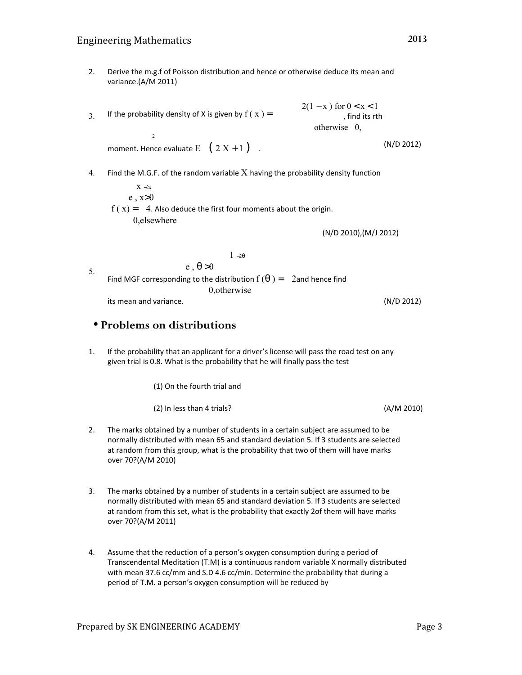#### Engineering Mathematics

2. Derive the m.g.f of Poisson distribution and hence or otherwise deduce its mean and variance.(A/M 2011)

If the probability density of X is given by  $f(x) = \frac{1}{2}$  2 3.  $\left[2(1-x)\right.$  for  $0 < x < 1$  , find its rth otherwise  $\left[0, \right]$ 

moment. Hence evaluate  $E \left[ \begin{array}{c} (2 \ 2 \ 1 \end{array} + 1 \begin{array}{c} ) \end{array} \right]$ .

4. Find the M.G.F. of the random variable  $X$  having the probability density function

 $\int 1 - 2\theta$ 

 $\int$  X −2x  $\vert e, x>0$  $f(x) = \frac{1}{2}$  4. Also deduce the first four moments about the origin. 0,elsewhere

(N/D 2010),(M/J 2012)

5. Find MGF corresponding to the distribution  $f(\theta) = \frac{1}{2}$  2and hence find 10.otherwise its mean and variance. (N/D 2012)

 $\vert e, \theta > 0$ 

### • **Problems on distributions**

1. If the probability that an applicant for a driver's license will pass the road test on any given trial is 0.8. What is the probability that he will finally pass the test

(1) On the fourth trial and

(2) In less than 4 trials? (A/M 2010)

- 2. The marks obtained by a number of students in a certain subject are assumed to be normally distributed with mean 65 and standard deviation 5. If 3 students are selected at random from this group, what is the probability that two of them will have marks over 70?(A/M 2010)
- The marks obtained by a number of students in a certain subject are assumed to be normally distributed with mean 65 and standard deviation 5. If 3 students are selected at random from this set, what is the probability that exactly 2of them will have marks over 70?(A/M 2011) 3.
- Assume that the reduction of a person's oxygen consumption during a period of Transcendental Meditation (T.M) is a continuous random variable X normally distributed with mean 37.6 cc/mm and S.D 4.6 cc/min. Determine the probability that during a period of T.M. a person's oxygen consumption will be reduced by 4.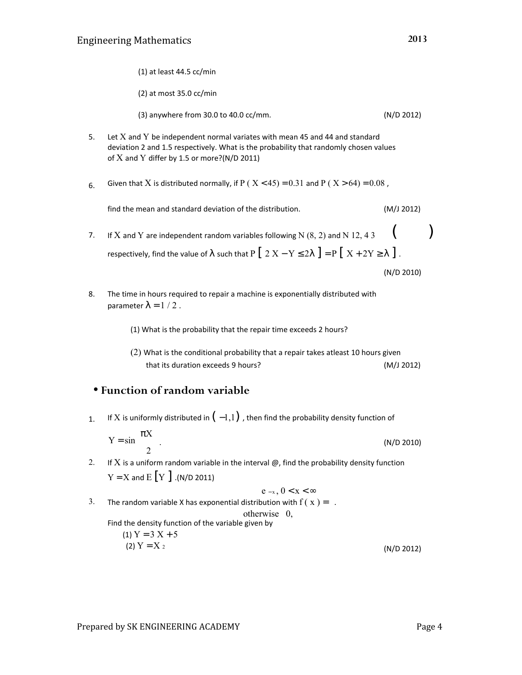|                                       | $(1)$ at least 44.5 cc/min                                                                                                                                                                                                  |            |  |
|---------------------------------------|-----------------------------------------------------------------------------------------------------------------------------------------------------------------------------------------------------------------------------|------------|--|
|                                       | $(2)$ at most 35.0 cc/min                                                                                                                                                                                                   |            |  |
|                                       | (3) anywhere from 30.0 to 40.0 cc/mm.                                                                                                                                                                                       | (N/D 2012) |  |
| 5.                                    | Let $X$ and $Y$ be independent normal variates with mean 45 and 44 and standard<br>deviation 2 and 1.5 respectively. What is the probability that randomly chosen values<br>of $X$ and $Y$ differ by 1.5 or more?(N/D 2011) |            |  |
| 6.                                    | Given that X is distributed normally, if P ( $X < 45$ ) = 0.31 and P ( $X > 64$ ) = 0.08,                                                                                                                                   |            |  |
|                                       | find the mean and standard deviation of the distribution.                                                                                                                                                                   | (M/J 2012) |  |
| 7.                                    | If X and Y are independent random variables following N $(8, 2)$ and N $12, 43$<br>respectively, find the value of $\lambda$ such that $P \left[ 2 X - Y \leq 2\lambda \right] = P \left[ X + 2Y \geq \lambda \right]$ .    | (N/D 2010) |  |
| 8.                                    | The time in hours required to repair a machine is exponentially distributed with<br>parameter $\lambda = 1/2$ .                                                                                                             |            |  |
|                                       | (1) What is the probability that the repair time exceeds 2 hours?                                                                                                                                                           |            |  |
|                                       | $(2)$ What is the conditional probability that a repair takes atleast 10 hours given<br>that its duration exceeds 9 hours?                                                                                                  | (M/J 2012) |  |
| $\bullet$ Function of random variable |                                                                                                                                                                                                                             |            |  |

1. If X is uniformly distributed in  $(-1,1)$ , then find the probability density function of

 $Y = \sin \frac{\pi X}{\pi}$ 2 . (N/D 2010)

- 2. If  $X$  is a uniform random variable in the interval  $@$ , find the probability density function  $Y = X$  and  $E[Y]$  .(N/D 2011)
- 3.  $[e - x, 0 < x < ∞$ The random variable X has exponential distribution with  $f(x) = \langle$ . otherwise  $\left[0, \right]$ Find the density function of the variable given by
	- (1)  $Y = 3X + 5$ (2)  $Y = X_2$ (N/D 2012)

( )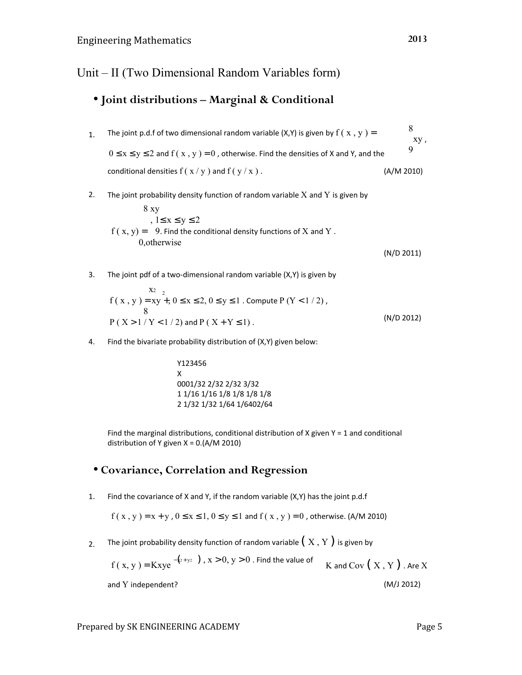Unit – II (Two Dimensional Random Variables form)

# • **Joint distributions – Marginal & Conditional**

- 1. The joint p.d.f of two dimensional random variable (X,Y) is given by  $f(x, y) =$ 8 xy , 9  $0 \le x \le y \le 2$  and  $f(x, y) = 0$ , otherwise. Find the densities of X and Y, and the conditional densities  $f(x/y)$  and  $f(y/x)$ . (A/M 2010)
- 2. The joint probability density function of random variable  $X$  and  $Y$  is given by

 $8xy$  $, 1 \le x \le y \le 2$  $f(x, y)$  =  $\frac{1}{3}$  9. Find the conditional density functions of  $X$  and  $Y$  . | 0, otherwise (N/D 2011)

- 3. The joint pdf of a two-dimensional random variable (X,Y) is given by  $X_2$ <sup>2</sup> f ( x, y ) = xy +,  $0 \le x \le 2$ ,  $0 \le y \le 1$ . Compute P (Y < 1/2), 8  $P(X > 1 / Y < 1 / 2)$  and  $P(X + Y \le 1)$ . (N/D 2012)
- 4. Find the bivariate probability distribution of (X,Y) given below:

Y123456 X 0001/32 2/32 2/32 3/32 1 1/16 1/16 1/8 1/8 1/8 1/8 2 1/32 1/32 1/64 1/6402/64

Find the marginal distributions, conditional distribution of X given  $Y = 1$  and conditional distribution of Y given X = 0.(A/M 2010)

## • **Covariance, Correlation and Regression**

1. Find the covariance of X and Y, if the random variable (X,Y) has the joint p.d.f

$$
f(x, y) = x + y
$$
,  $0 \le x \le 1$ ,  $0 \le y \le 1$  and  $f(x, y) = 0$ , otherwise. (A/M 2010)

2. The joint probability density function of random variable  $(X, Y)$  is given by

 $f(x, y) =$ Kxye  $^{-(x + y_2)}$ ,  $x > 0$ ,  $y > 0$  . Find the value of K and Cov  $(X, Y)$  . Are X and Y independent? (M/J 2012)

Prepared by SK ENGINEERING ACADEMY FRAGGERY Page 5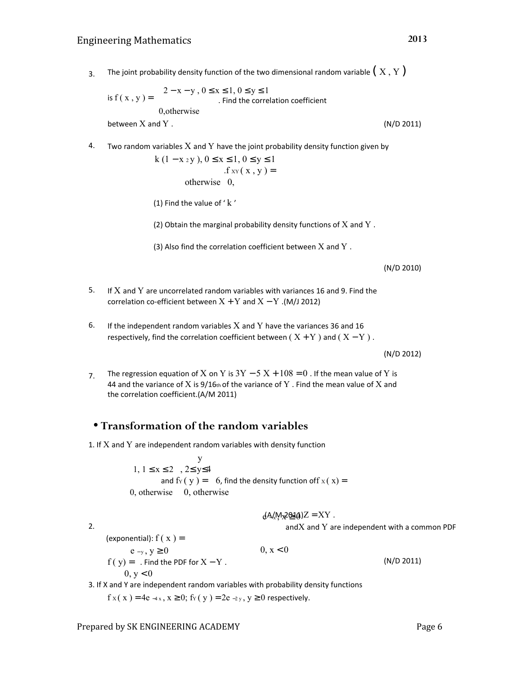3. The joint probability density function of the two dimensional random variable  $(X, Y)$ 

is 
$$
f(x, y) = \begin{cases} 2 - x - y, 0 \le x \le 1, 0 \le y \le 1 \\ . \text{ Find the correlation coefficient} \\ 0, \text{otherwise} \end{cases}
$$
  
between X and Y. (N/D 2011)

4. Two random variables  $X$  and  $Y$  have the joint probability density function given by

$$
\begin{cases} k (1 - x_2 y), 0 \le x \le 1, 0 \le y \le 1\\ \text{if } xy (x, y) = \{ \} \\ \text{otherwise} \end{cases}
$$

(1) Find the value of  $'$  k  $'$ 

(2) Obtain the marginal probability density functions of  $X$  and  $Y$ .

(3) Also find the correlation coefficient between  $X$  and  $Y$ .

(N/D 2010)

- 5. If X and Y are uncorrelated random variables with variances 16 and 9. Find the correlation co-efficient between  $X + Y$  and  $X - Y$ .(M/J 2012)
- If the independent random variables  $X$  and  $Y$  have the variances 36 and 16 respectively, find the correlation coefficient between ( $X + Y$ ) and ( $X - Y$ ). 6.

(N/D 2012)

7. The regression equation of X on Y is  $3Y - 5X + 108 = 0$ . If the mean value of Y is 44 and the variance of X is 9/16th of the variance of Y . Find the mean value of X and the correlation coefficient.(A/M 2011)

### • **Transformation of the random variables**

1. If  $X$  and  $Y$  are independent random variables with density function

**y** and the state of  $\mathbf{y}$  $\begin{bmatrix} 1, & 1 \leq x \leq 2 \end{bmatrix}$ ,  $2 \leq y \leq 4$ and  $f_Y(y) = \begin{cases} 6, & \text{find the density function of } f_X(x) = \end{cases}$ 0, otherwise  $\vert \vert$  0, otherwise  $\mathcal{L}$  and  $\mathcal{L}$  and  $\mathcal{L}$ 

$$
\int dA / M z \, Q_1 Q \, Z = XY \; .
$$

and $X$  and  $Y$  are independent with a common PDF

2.

(exponential):  $f(x) = \{$  $[e_{-y}, y \ge 0$  0,  $x < 0$  $f(y) = \{$ . Find the PDF for  $X - Y$ .  $0, v < 0$ (N/D 2011)

3. If X and  $\forall$  are independent random variables with probability density functions

 $f(x) = 4e^{-4x}, x \ge 0$ ; fy (y ) = 2e -2y, y ≥ 0 respectively.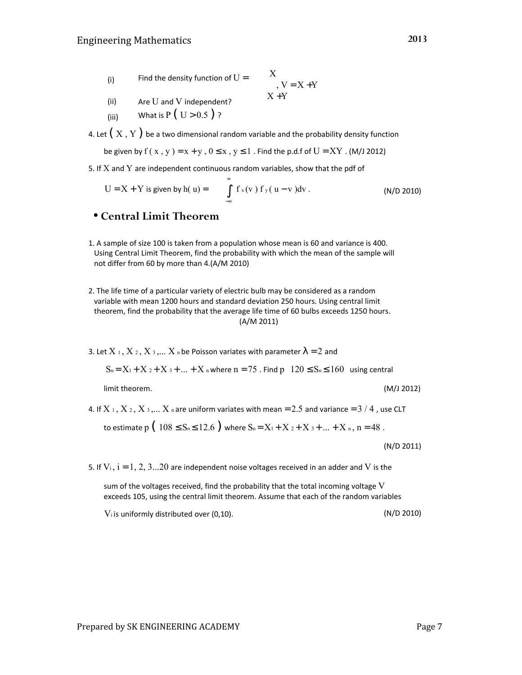- (i) Find the density function of  $U =$  X  $, V = X + Y$  $X + Y$
- (ii) Are U and V independent?

(iii) What is  $P(U > 0.5)$ ?

4. Let  $(X, Y)$  be a two dimensional random variable and the probability density function

be given by  $f(x, y) = x + y$ ,  $0 \le x$ ,  $y \le 1$ . Find the p.d.f of  $U = XY$ . (M/J 2012)

5. If  $X$  and  $Y$  are independent continuous random variables, show that the pdf of

$$
U = X + Y \text{ is given by } h(u) = \int_{-\infty}^{\infty} f_x(v) f_y(u-v) dv. \qquad (N/D 2010)
$$

### • **Central Limit Theorem**

- 1. A sample of size 100 is taken from a population whose mean is 60 and variance is 400. Using Central Limit Theorem, find the probability with which the mean of the sample will not differ from 60 by more than 4.(A/M 2010)
- 2. The life time of a particular variety of electric bulb may be considered as a random variable with mean 1200 hours and standard deviation 250 hours. Using central limit theorem, find the probability that the average life time of 60 bulbs exceeds 1250 hours. (A/M 2011)
- 3. Let  $X_1, X_2, X_3, \ldots, X_n$  be Poisson variates with parameter  $\lambda = 2$  and

$$
S_n = X_1 + X_2 + X_3 + ... + X_n
$$
 where  $n = 75$ . Find  $p \mid 120 \le S_n \le 160$  using central

limit theorem. (M/J 2012)

4. If  $X_1, X_2, X_3, \ldots X_n$  are uniform variates with mean = 2.5 and variance = 3 / 4, use CLT

to estimate p  $(108 \le S_n \le 12.6)$  where  $S_n = X_1 + X_2 + X_3 + ... + X_n$ , n = 48.

(N/D 2011)

5. If  $V_i$ ,  $i = 1, 2, 3...20$  are independent noise voltages received in an adder and V is the

sum of the voltages received, find the probability that the total incoming voltage  $V$ exceeds 105, using the central limit theorem. Assume that each of the random variables

 $V_i$  is uniformly distributed over (0,10).  $(N/D 2010)$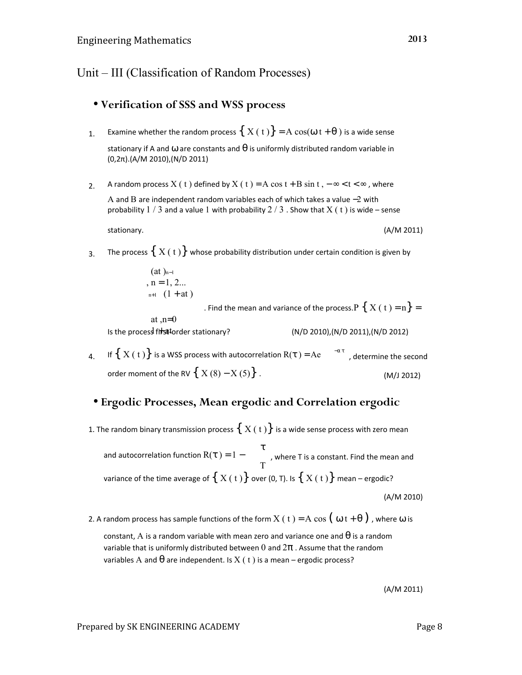Unit – III (Classification of Random Processes)

## • **Verification of SSS and WSS process**

- 1. Examine whether the random process  $\{ X(t) \} = A \cos(\omega t + \theta)$  is a wide sense stationary if A and  $\omega$  are constants and  $\theta$  is uniformly distributed random variable in (0,2π).(A/M 2010),(N/D 2011)
- 2. A random process  $X(t)$  defined by  $X(t) = A \cos t + B \sin t, -\infty < t < \infty$ , where A and B are independent random variables each of which takes a value −2 with probability  $1/3$  and a value 1 with probability  $2/3$  . Show that  $X( t )$  is wide – sense

stationary.

3. The process  $\{ X(t) \}$  whose probability distribution under certain condition is given by

$$
\begin{cases} (at)_{n-1} \\ n = 1, 2... \\ \vert_{n+1} \vert (1 + at) \end{cases}
$$

. Find the mean and variance of the process. P  $\{ X(t) = n \} = \{$ 

at  $,n=0$ Is the process first-order stationary?

(N/D 2010),(N/D 2011),(N/D 2012)

4. If  $\Set{X(\mathsf{t})}$  is a WSS process with autocorrelation  $R(\mathsf{\tau}) = A e^{-\alpha \tau}$ , determine the second order moment of the RV  $\{ X(8) - X(5) \}$ . (M/J 2012)

## • **Ergodic Processes, Mean ergodic and Correlation ergodic**

1. The random binary transmission process  $\{ X(t) \}$  is a wide sense process with zero mean

and autocorrelation function  $R(\tau) = 1$ τ T , where T is a constant. Find the mean and variance of the time average of  $\{ X(t) \}$  over (0, T). Is  $\{ X(t) \}$  mean – ergodic? (A/M 2010)

2. A random process has sample functions of the form  $X(t) = A \cos(\omega t + \theta)$ , where  $\omega$  is

constant, A is a random variable with mean zero and variance one and  $\theta$  is a random variable that is uniformly distributed between 0 and  $2\pi$  . Assume that the random variables A and  $\theta$  are independent. Is X (t) is a mean – ergodic process?

(A/M 2011)

#### Prepared by SK ENGINEERING ACADEMY Page 8

(A/M 2011)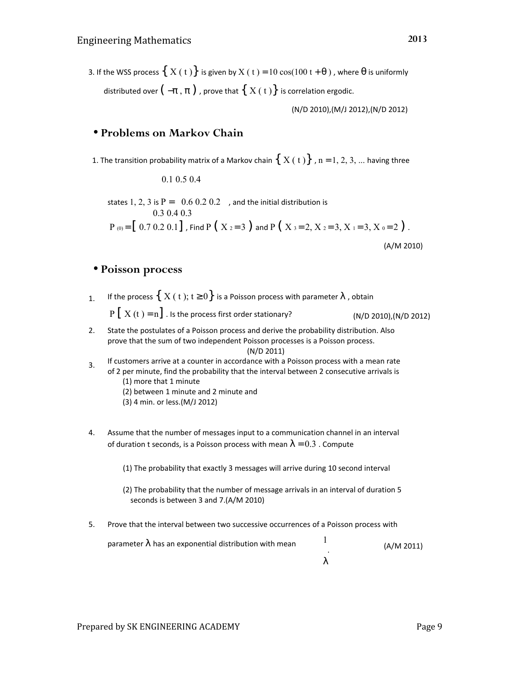3. If the WSS process  $\{X(t)\}\$ is given by  $X(t) = 10 \cos(100 t + \theta)$ , where  $\theta$  is uniformly distributed over  $(-\pi, \pi)$ , prove that  $\{X(t)\}\$ is correlation ergodic.

(N/D 2010),(M/J 2012),(N/D 2012)

#### • **Problems on Markov Chain**

1. The transition probability matrix of a Markov chain  $\{ X(t) \}$ , n = 1, 2, 3, ... having three

 $\left( \begin{array}{c} 0.1 & 0.5 & 0.4 \end{array} \right)$ **Contract Contract** states  $1, 2, 3$  is  $\mathrm{P}\!=\! \mid 0.6~0.2~0.2 \mid$  , and the initial distribution is  $0.30403$  $P_{(0)} = [0.7 \times 20.1]$ , Find P (X  $_2 = 3$ ) and P (X  $_3 = 2$ , X  $_2 = 3$ , X  $_1 = 3$ , X  $_0 = 2$ ). (A/M 2010)

#### • **Poisson process**

1. If the process  $\{ X(t); t \geq 0 \}$  is a Poisson process with parameter  $\lambda$ , obtain

 $P[X(t) = n]$ . Is the process first order stationary? (N/D 2010), (N/D 2012)

- 2. State the postulates of a Poisson process and derive the probability distribution. Also prove that the sum of two independent Poisson processes is a Poisson process. (N/D 2011)
- 3. If customers arrive at a counter in accordance with a Poisson process with a mean rate of 2 per minute, find the probability that the interval between 2 consecutive arrivals is (1) more that 1 minute (2) between 1 minute and 2 minute and (3) 4 min. or less.(M/J 2012)
- Assume that the number of messages input to a communication channel in an interval of duration t seconds, is a Poisson process with mean  $\lambda = 0.3$  . Compute 4.

(1) The probability that exactly 3 messages will arrive during 10 second interval

- (2) The probability that the number of message arrivals in an interval of duration 5 seconds is between 3 and 7.(A/M 2010)
- 5. Prove that the interval between two successive occurrences of a Poisson process with

| parameter $\lambda$ has an exponential distribution with mean | (A/M 2011) |
|---------------------------------------------------------------|------------|
|                                                               |            |
|                                                               |            |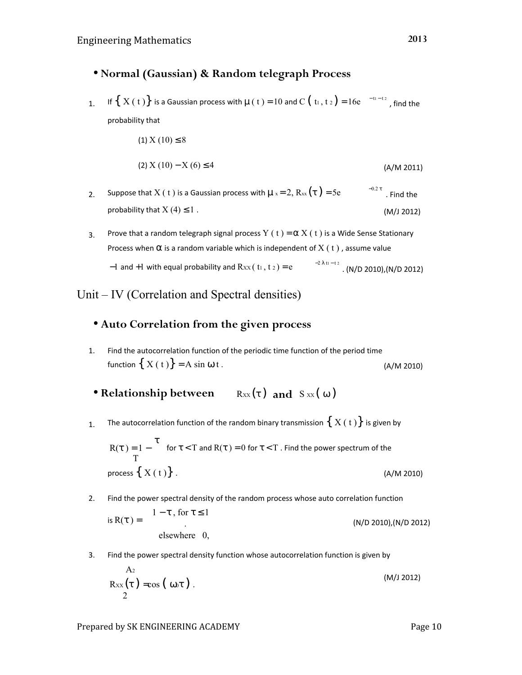## • **Normal (Gaussian) & Random telegraph Process**

1. If  $\{X(t)\}$  is a Gaussian process with  $\mu(t) = 10$  and C  $(t_1, t_2) = 16e^{-t_1-t_2}$  , find the probability that

```
(1) X (10) \leq 8
```

$$
(2) X (10) - X (6) \le 4 \tag{A/M 2011}
$$

- 2. Suppose that X ( t ) is a Gaussian process with  $\mu$  x = 2, Rxx ( $\tau$ ) = 5e probability that  $X(4) \leq 1$ .  $^{-0.2}$  τ . Find the (M/J 2012)
- 3. Prove that a random telegraph signal process Y ( t ) =  $\alpha$  X ( t ) is a Wide Sense Stationary Process when  $\alpha$  is a random variable which is independent of  $X(t)$ , assume value  $-1$  and  $+1$  with equal probability and  $Rxx(t_1, t_2) = e$ −2 λ t1 − t 2 . (N/D 2010),(N/D 2012)

# Unit – IV (Correlation and Spectral densities)

## • **Auto Correlation from the given process**

1. Find the autocorrelation function of the periodic time function of the period time function  $\{ X(t) \} = A \sin \omega t$ . (A/M 2010)

• Relationship between **Rxx(τ)** and Sxx(ω)

1. The autocorrelation function of the random binary transmission  $\{ X(t) \}$  is given by

$$
R(\tau) = 1 - \frac{\tau}{T}
$$
 for  $\tau < T$  and  $R(\tau) = 0$  for  $\tau < T$ . Find the power spectrum of the  
process { X(t) }. (A/M 2010)

2. Find the power spectral density of the random process whose auto correlation function  
is 
$$
R(\tau) = \left\{ \begin{aligned} 1 - \tau, &\text{for } \tau \le 1 \\ &\text{elsewhere} \end{aligned} \right\}
$$
 (N/D 2010), (N/D 2012)

3. Find the power spectral density function whose autocorrelation function is given by

$$
\text{R}_{\text{XX}}(\tau) = \cos\left(\omega_0 \tau\right). \tag{M/12012}
$$

Prepared by SK ENGINEERING ACADEMY Fage 10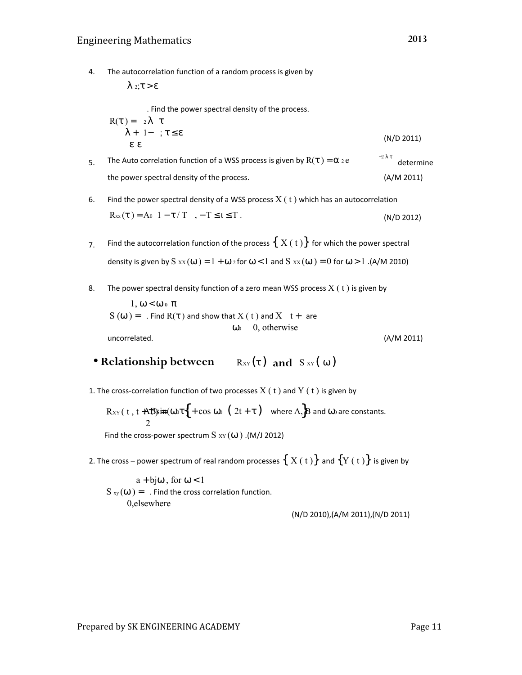4. The autocorrelation function of a random process is given by

$$
\begin{aligned}\n &\left[ \lambda \ z; \tau > \varepsilon \right] \\
 &\quad \text{Find the power spectral density of the process.} \\
 &\text{R}(\tau) = \left\{ \begin{array}{l} 2 \lambda \left( \tau \right) \\
 &\lambda + |1 - | \right; \tau \leq \varepsilon \end{array} \right] \\
 &\text{R}(\tau) = \left\{ \begin{array}{l} 2 \lambda \left( \tau \right) \\
 &\lambda + |1 - | \right; \tau \leq \varepsilon \end{array} \right.\n \end{aligned}
$$

- 5. The Auto correlation function of a WSS process is given by  $R(\tau) = \alpha_2 e$ the power spectral density of the process. −2 λ τ determine (A/M 2011)
- 6. Find the power spectral density of a WSS process  $X(t)$  which has an autocorrelation  $R_{xx}(\tau) = A_0 \left[1 - \tau / T \right]$ ,  $- T \le t \le T$ . (N/D 2012)
- 7. Find the autocorrelation function of the process  $\{ X(t) \}$  for which the power spectral density is given by S  $xx(\omega) = 1 + \omega_2$  for  $\omega < 1$  and S  $xx(\omega) = 0$  for  $\omega > 1$ . (A/M 2010)
- 8. The power spectral density function of a zero mean WSS process  $X(t)$  is given by

$$
\begin{array}{c}\n\begin{bmatrix} 1, \omega < \omega & \text{if } \pi \end{bmatrix} \\
S(\omega) = \begin{cases} \text{. Find } R(\tau) \text{ and show that } X(\tau) \text{ and } X \mid \tau + \text{ are} \\
\omega & \text{if } 0, \text{ otherwise} \end{cases} \\
\text{uncorrelated.}\n\end{array}
$$
\n(A/M 2011)

- **Relationship between** Rxy(τ) and Sxy(ω)
- 1. The cross-correlation function of two processes  $X(t)$  and  $Y(t)$  is given by

$$
Rxy(t, t + AB)\sin(\omega \sigma \{ + \cos \omega \} [ (2t + \tau) ]
$$
 where A<sub>1</sub>B and  $\omega$  are constants.

Find the cross-power spectrum  $S_{XY}(\omega)$ . (M/J 2012)

2. The cross – power spectrum of real random processes  $\{X(t)\}$  and  $\{Y(t)\}$  is given by

 $|a + b\omega$ , for  $\omega < 1|$  $S_{xy}(\omega) = \{$ . Find the cross correlation function.  $0,$ elsewhere $| \n\|$ 

(N/D 2010),(A/M 2011),(N/D 2011)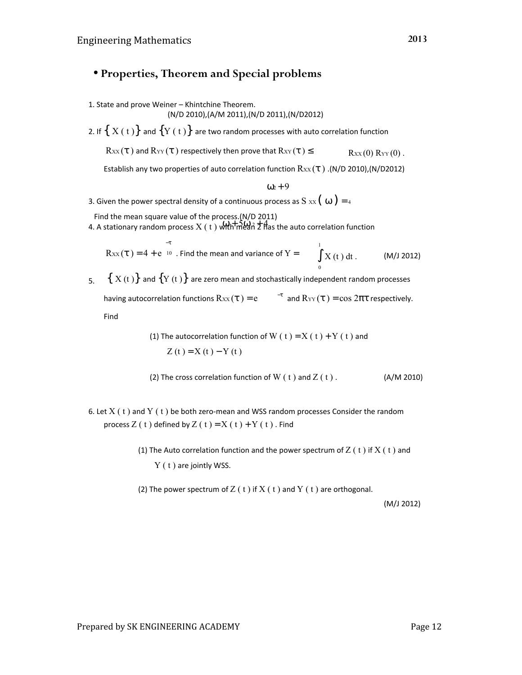# • **Properties, Theorem and Special problems**

1. State and prove Weiner – Khintchine Theorem.

$$
(N/D 2010), (A/M 2011), (N/D 2011), (N/D 2012)
$$

2. If  $\{X(t)\}$  and  $\{Y(t)\}$  are two random processes with auto correlation function

 $R_{XX}(\tau)$  and  $R_{YY}(\tau)$  respectively then prove that  $R_{XY}(\tau) \leq R_{XX}(0) R_{YY}(0)$ .

Establish any two properties of auto correlation function  $\text{Rx}(t)$ . (N/D 2010), (N/D2012)

 $\omega_2 + 9$ 

3. Given the power spectral density of a continuous process as S  $x\mathbf{x}$  ( $\omega$ ) = 4

. Find the mean square value of the process.(N/D 2011)

4. A stationary random process  $X(t)$  with mean  $2 \pi$  thas the auto correlation function

$$
Rxx(\tau) = 4 + e^{-10}
$$
. Find the mean and variance of Y =  $\int_{0}^{1} X(t) dt$ . (M/J 2012)

5.  $\{X(t)\}$  and  $\{Y(t)\}$  are zero mean and stochastically independent random processes having autocorrelation functions  $\text{Rxx}(\tau) = e$  and  $\text{R}_{\text{YY}}(\tau) = \cos 2\pi\tau$  respectively.

Find

(1) The autocorrelation function of W ( t ) = X ( t ) + Y ( t ) and Z (t ) = X (t ) − Y (t )

(2) The cross correlation function of W ( $t$ ) and  $Z(t)$ . (A/M 2010)

- 6. Let  $X(t)$  and  $Y(t)$  be both zero-mean and WSS random processes Consider the random process  $Z(t)$  defined by  $Z(t) = X(t) + Y(t)$ . Find
	- (1) The Auto correlation function and the power spectrum of  $Z(t)$  if  $X(t)$  and Y (t) are jointly WSS.

(2) The power spectrum of  $Z(t)$  if  $X(t)$  and  $Y(t)$  are orthogonal.

(M/J 2012)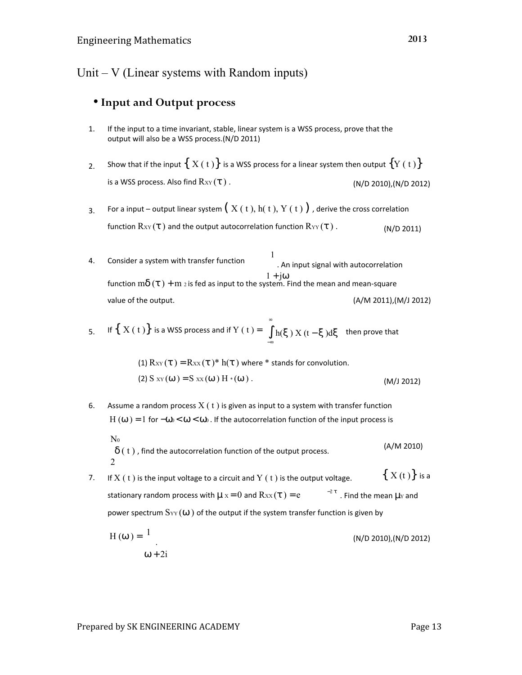# Unit  $-V$  (Linear systems with Random inputs)

## • **Input and Output process**

- 1. If the input to a time invariant, stable, linear system is a WSS process, prove that the output will also be a WSS process.(N/D 2011)
- Show that if the input  $\{ X(t) \}$  is a WSS process for a linear system then output  $\{ Y(t) \}$ is a WSS process. Also find  $\text{R}$ <sub>XY</sub> ( $\tau$ ). (N/D 2010),(N/D 2012) 2.
- 3. For a input – output linear system  $(X(t), h(t), Y(t))$ , derive the cross correlation function  $\text{R}_{XY}(\tau)$  and the output autocorrelation function  $\text{R}_{YY}(\tau)$ . (N/D 2011)
- 4. Consider a system with transfer function 1 . An input signal with autocorrelation  $1 + i\omega$ (A/M 2011),(M/J 2012) function  $m\delta(\tau) + m_2$  is fed as input to the system. Find the mean and mean-square value of the output.

5. If 
$$
\{X(t)\}
$$
 is a WSS process and if  $Y(t) = \int_{-\infty}^{\infty} h(\xi) X(t - \xi) d\xi$  then prove that

(1) 
$$
R_{XY}(\tau) = R_{XX}(\tau)^* h(\tau)
$$
 where \* stands for convolution.  
(2) S  $_{XY}(\omega) = S_{XX}(\omega) H * (\omega)$ . (M/1 2012)

- 6. Assume a random process  $X(t)$  is given as input to a system with transfer function H ( $\omega$ ) = 1 for  $-\omega_0 < \omega < \omega_0$ . If the autocorrelation function of the input process is  $N<sub>0</sub>$ 
	- $\delta$  ( t ), find the autocorrelation function of the output process.  $\mathfrak{Z}$ (A/M 2010)
- 7. If  $X(t)$  is the input voltage to a circuit and  $Y(t)$  is the output voltage. stationary random process with  $\mu$  x = 0 and  $R_{XX}(\tau) = e$  $^{-2}$  τ. Find the mean  $\mu$ <sub>Y</sub> and  $\{ X(t) \}$  is a power spectrum  $S_{YY}(\omega)$  of the output if the system transfer function is given by
	- $H(\omega) = \frac{1}{\omega}$  .  $\omega + 2i$ (N/D 2010),(N/D 2012)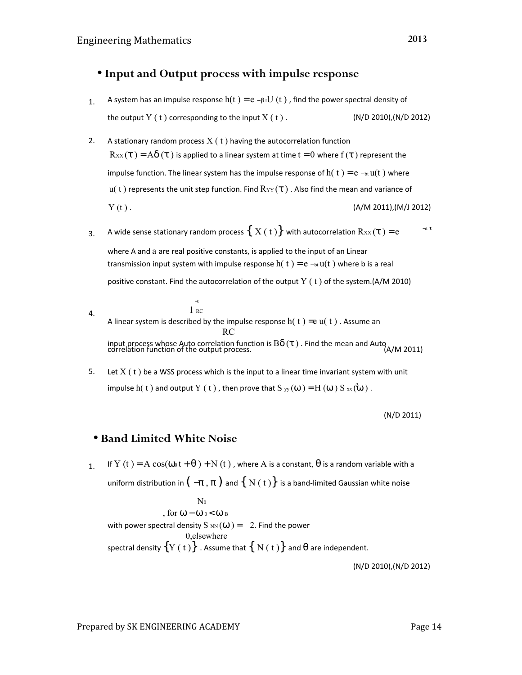## • **Input and Output process with impulse response**

- 1. A system has an impulse response  $h(t) = e \beta t U(t)$ , find the power spectral density of the output  $Y(t)$  corresponding to the input  $X(t)$ . (N/D 2010),(N/D 2012)
- 2. A stationary random process  $X(t)$  having the autocorrelation function  $R_{XX}(\tau) = A\delta(\tau)$  is applied to a linear system at time  $t = 0$  where  $f(\tau)$  represent the impulse function. The linear system has the impulse response of  $h(t) = e_{-\text{bt}} u(t)$  where u( t) represents the unit step function. Find  $R_{YY}(\tau)$  . Also find the mean and variance of  $Y(t)$ . (A/M 2011),(M/J 2012)
- 3. −a τ A wide sense stationary random process  $\{ X(t) \}$  with autocorrelation  $R_{XX}(\tau) = e$

where A and a are real positive constants, is applied to the input of an Linear transmission input system with impulse response h( t ) = e – bt  $u(t)$  where b is a real

positive constant. Find the autocorrelation of the output  $Y(t)$  of the system.(A/M 2010)

- 4. −t 1 RC A linear system is described by the impulse response  $h(t) = e u(t)$ . Assume an **RC** RC input process whose Auto correlation function is Bδ (τ ) . Find the mean and Auto correlation function of the output process. (A/M 2011)
- 5. Let  $X(t)$  be a WSS process which is the input to a linear time invariant system with unit impulse  $h( t )$  and output  $Y( t )$  , then prove that  $S_{yy}(\omega)=H(\omega)~S_{xx}(\omega)$  .

(N/D 2011)

### • **Band Limited White Noise**

1 If Y (t) = A cos( $\omega_0 t + \theta$ ) + N (t), where A is a constant,  $\theta$  is a random variable with a uniform distribution in  $(-\pi, \pi)$  and  $\{ N(t) \}$  is a band-limited Gaussian white noise

 $\int N_0$ , for  $\omega - \omega_0 < \omega_B$ with power spectral density S  $_{NN}(\omega) = \frac{1}{2}$ . Find the power | 0, elsewhere spectral density  $\{Y(t)\}$  . Assume that  $\{N(t)\}$  and  $\theta$  are independent.

(N/D 2010),(N/D 2012)

Prepared by SK ENGINEERING ACADEMY For the control of the Page 14